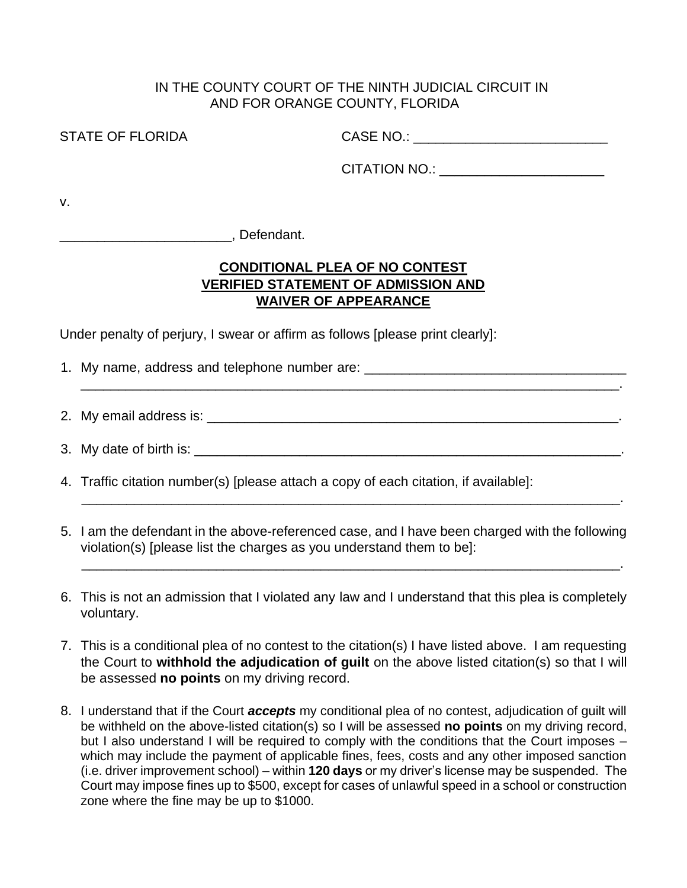## IN THE COUNTY COURT OF THE NINTH JUDICIAL CIRCUIT IN AND FOR ORANGE COUNTY, FLORIDA

STATE OF FLORIDA CASE NO.: \_\_\_\_\_\_\_\_\_\_\_\_\_\_\_\_\_\_\_\_\_\_\_\_\_\_

CITATION NO.: \_\_\_\_\_\_\_\_\_\_\_\_\_\_\_\_\_\_\_\_\_\_

v.

\_\_\_\_\_\_\_\_\_\_\_\_\_\_\_\_\_\_\_\_\_\_\_, Defendant.

## **CONDITIONAL PLEA OF NO CONTEST VERIFIED STATEMENT OF ADMISSION AND WAIVER OF APPEARANCE**

Under penalty of perjury, I swear or affirm as follows [please print clearly]:

- 1. My name, address and telephone number are:
- 2. My email address is:  $\Box$
- 3. My date of birth is: **We are all that in the set of the set of birth is:**  $\sim$

\_\_\_\_\_\_\_\_\_\_\_\_\_\_\_\_\_\_\_\_\_\_\_\_\_\_\_\_\_\_\_\_\_\_\_\_\_\_\_\_\_\_\_\_\_\_\_\_\_\_\_\_\_\_\_\_\_\_\_\_\_\_\_\_\_\_\_\_\_\_\_\_.

- 4. Traffic citation number(s) [please attach a copy of each citation, if available]:
- 5. I am the defendant in the above-referenced case, and I have been charged with the following violation(s) [please list the charges as you understand them to be]:

\_\_\_\_\_\_\_\_\_\_\_\_\_\_\_\_\_\_\_\_\_\_\_\_\_\_\_\_\_\_\_\_\_\_\_\_\_\_\_\_\_\_\_\_\_\_\_\_\_\_\_\_\_\_\_\_\_\_\_\_\_\_\_\_\_\_\_\_\_\_\_\_.

\_\_\_\_\_\_\_\_\_\_\_\_\_\_\_\_\_\_\_\_\_\_\_\_\_\_\_\_\_\_\_\_\_\_\_\_\_\_\_\_\_\_\_\_\_\_\_\_\_\_\_\_\_\_\_\_\_\_\_\_\_\_\_\_\_\_\_\_\_\_\_\_.

- 6. This is not an admission that I violated any law and I understand that this plea is completely voluntary.
- 7. This is a conditional plea of no contest to the citation(s) I have listed above. I am requesting the Court to **withhold the adjudication of guilt** on the above listed citation(s) so that I will be assessed **no points** on my driving record.
- 8. I understand that if the Court *accepts* my conditional plea of no contest, adjudication of guilt will be withheld on the above-listed citation(s) so I will be assessed **no points** on my driving record, but I also understand I will be required to comply with the conditions that the Court imposes – which may include the payment of applicable fines, fees, costs and any other imposed sanction (i.e. driver improvement school) – within **120 days** or my driver's license may be suspended. The Court may impose fines up to \$500, except for cases of unlawful speed in a school or construction zone where the fine may be up to \$1000.